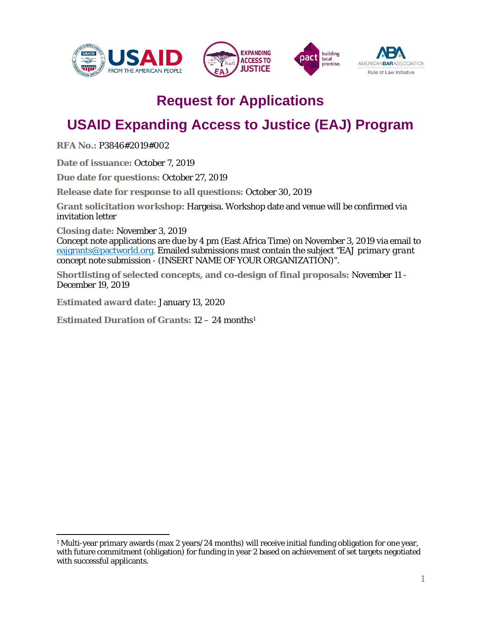







# **Request for Applications**

# **USAID Expanding Access to Justice (EAJ) Program**

**RFA No.:** P3846#2019#002

**Date of issuance:** October 7, 2019

**Due date for questions:** October 27, 2019

**Release date for response to all questions:** October 30, 2019

**Grant solicitation workshop:** Hargeisa. Workshop date and venue will be confirmed via invitation letter

**Closing date:** November 3, 2019

Concept note applications are due by 4 pm (East Africa Time) on November 3, 2019 via email to [eajgrants@pactworld.org.](mailto:eajgrants@pactworld.org) Emailed submissions must contain the subject *"EAJ primary grant concept note submission - (INSERT NAME OF YOUR ORGANIZATION)"*.

**Shortlisting of selected concepts, and co-design of final proposals:** November 11 - December 19, 2019

**Estimated award date:** January 13, 2020

**Estimated Duration of Grants:** 12 – 24 months[1](#page-0-0)

<span id="page-0-0"></span><sup>&</sup>lt;sup>1</sup> Multi-year primary awards (max 2 years/24 months) will receive initial funding obligation for one year, with future commitment (obligation) for funding in year 2 based on achievement of set targets negotiated with successful applicants.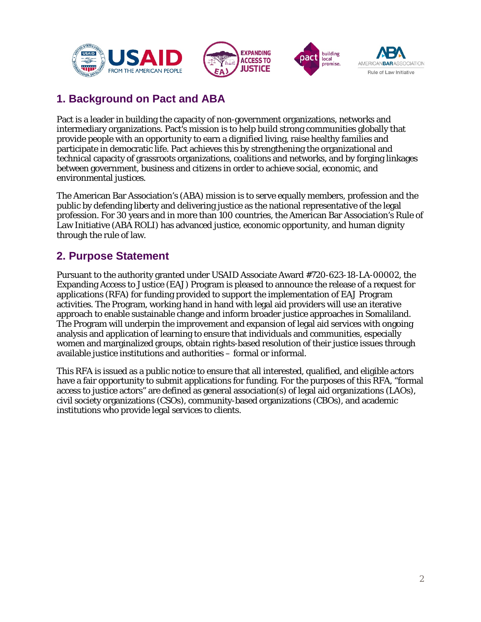





## **1. Background on Pact and ABA**

Pact is a leader in building the capacity of non-government organizations, networks and intermediary organizations. Pact's mission is to help build strong communities globally that provide people with an opportunity to earn a dignified living, raise healthy families and participate in democratic life. Pact achieves this by strengthening the organizational and technical capacity of grassroots organizations, coalitions and networks, and by forging linkages between government, business and citizens in order to achieve social, economic, and environmental justices.

The American Bar Association's (ABA) mission is to serve equally members, profession and the public by defending liberty and delivering justice as the national representative of the legal profession. For 30 years and in more than 100 countries, the American Bar Association's Rule of Law Initiative (ABA ROLI) has advanced justice, economic opportunity, and human dignity through the rule of law.

### **2. Purpose Statement**

Pursuant to the authority granted under USAID Associate Award #720-623-18-LA-00002, the Expanding Access to Justice (EAJ) Program is pleased to announce the release of a request for applications (RFA) for funding provided to support the implementation of EAJ Program activities. The Program, working hand in hand with legal aid providers will use an iterative approach to enable sustainable change and inform broader justice approaches in Somaliland. The Program will underpin the improvement and expansion of legal aid services with ongoing analysis and application of learning to ensure that individuals and communities, especially women and marginalized groups, obtain rights-based resolution of their justice issues through available justice institutions and authorities – formal or informal.

This RFA is issued as a public notice to ensure that all interested, qualified, and eligible actors have a fair opportunity to submit applications for funding. For the purposes of this RFA, "formal access to justice actors" are defined as general association(s) of legal aid organizations (LAOs), civil society organizations (CSOs), community-based organizations (CBOs), and academic institutions who provide legal services to clients.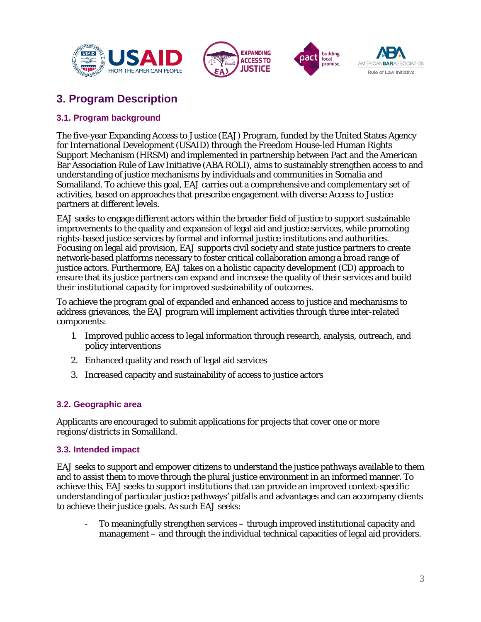





## **3. Program Description**

#### **3.1. Program background**

The five-year Expanding Access to Justice (EAJ) Program, funded by the United States Agency for International Development (USAID) through the Freedom House-led Human Rights Support Mechanism (HRSM) and implemented in partnership between Pact and the American Bar Association Rule of Law Initiative (ABA ROLI), aims to sustainably strengthen access to and understanding of justice mechanisms by individuals and communities in Somalia and Somaliland. To achieve this goal, EAJ carries out a comprehensive and complementary set of activities, based on approaches that prescribe engagement with diverse Access to Justice partners at different levels.

EAJ seeks to engage different actors within the broader field of justice to support sustainable improvements to the quality and expansion of legal aid and justice services, while promoting rights-based justice services by formal and informal justice institutions and authorities. Focusing on legal aid provision, EAJ supports civil society and state justice partners to create network-based platforms necessary to foster critical collaboration among a broad range of justice actors. Furthermore, EAJ takes on a holistic capacity development (CD) approach to ensure that its justice partners can expand and increase the quality of their services and build their institutional capacity for improved sustainability of outcomes.

To achieve the program goal of expanded and enhanced access to justice and mechanisms to address grievances, the EAJ program will implement activities through three inter-related components:

- 1. Improved public access to legal information through research, analysis, outreach, and policy interventions
- 2. Enhanced quality and reach of legal aid services
- 3. Increased capacity and sustainability of access to justice actors

#### **3.2. Geographic area**

Applicants are encouraged to submit applications for projects that cover one or more regions/districts in Somaliland.

#### **3.3. Intended impact**

EAJ seeks to support and empower citizens to understand the justice pathways available to them and to assist them to move through the plural justice environment in an informed manner. To achieve this, EAJ seeks to support institutions that can provide an improved context-specific understanding of particular justice pathways' pitfalls and advantages and can accompany clients to achieve their justice goals. As such EAJ seeks:

- To meaningfully strengthen services – through improved institutional capacity and management – and through the individual technical capacities of legal aid providers.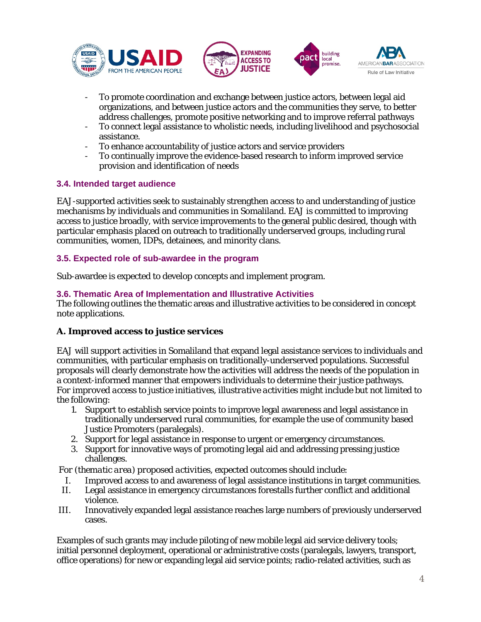





- To promote coordination and exchange between justice actors, between legal aid organizations, and between justice actors and the communities they serve, to better address challenges, promote positive networking and to improve referral pathways
- To connect legal assistance to wholistic needs, including livelihood and psychosocial assistance.
- To enhance accountability of justice actors and service providers
- To continually improve the evidence-based research to inform improved service provision and identification of needs

#### **3.4. Intended target audience**

EAJ-supported activities seek to sustainably strengthen access to and understanding of justice mechanisms by individuals and communities in Somaliland. EAJ is committed to improving access to justice broadly, with service improvements to the general public desired, though with particular emphasis placed on outreach to traditionally underserved groups, including rural communities, women, IDPs, detainees, and minority clans.

#### **3.5. Expected role of sub-awardee in the program**

Sub-awardee is expected to develop concepts and implement program.

#### **3.6. Thematic Area of Implementation and Illustrative Activities**

The following outlines the thematic areas and illustrative activities to be considered in concept note applications.

#### **A. Improved access to justice services**

EAJ will support activities in Somaliland that expand legal assistance services to individuals and communities, with particular emphasis on traditionally-underserved populations. Successful proposals will clearly demonstrate how the activities will address the needs of the population in a context-informed manner that empowers individuals to determine their justice pathways. *For improved access to justice initiatives, illustrative activities might include but not limited to the following:* 

- 1. Support to establish service points to improve legal awareness and legal assistance in traditionally underserved rural communities, for example the use of community based Justice Promoters (paralegals).
- 2. Support for legal assistance in response to urgent or emergency circumstances.
- 3. Support for innovative ways of promoting legal aid and addressing pressing justice challenges.

*For (thematic area) proposed activities, expected outcomes should include:* 

- I. Improved access to and awareness of legal assistance institutions in target communities.
- II. Legal assistance in emergency circumstances forestalls further conflict and additional violence.
- III. Innovatively expanded legal assistance reaches large numbers of previously underserved cases.

Examples of such grants may include piloting of new mobile legal aid service delivery tools; initial personnel deployment, operational or administrative costs (paralegals, lawyers, transport, office operations) for new or expanding legal aid service points; radio-related activities, such as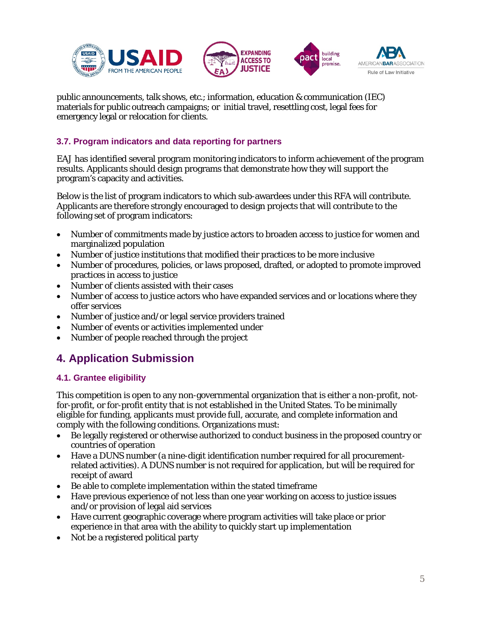





public announcements, talk shows, etc.; information, education & communication (IEC) materials for public outreach campaigns; or initial travel, resettling cost, legal fees for emergency legal or relocation for clients.

#### **3.7. Program indicators and data reporting for partners**

EAJ has identified several program monitoring indicators to inform achievement of the program results. Applicants should design programs that demonstrate how they will support the program's capacity and activities.

Below is the list of program indicators to which sub-awardees under this RFA will contribute. Applicants are therefore strongly encouraged to design projects that will contribute to the following set of program indicators:

- Number of commitments made by justice actors to broaden access to justice for women and marginalized population
- Number of justice institutions that modified their practices to be more inclusive
- Number of procedures, policies, or laws proposed, drafted, or adopted to promote improved practices in access to justice
- Number of clients assisted with their cases
- Number of access to justice actors who have expanded services and or locations where they offer services
- Number of justice and/or legal service providers trained
- Number of events or activities implemented under
- Number of people reached through the project

### **4. Application Submission**

#### **4.1. Grantee eligibility**

This competition is open to any non-governmental organization that is either a non-profit, notfor-profit, or for-profit entity that is not established in the United States. To be minimally eligible for funding, applicants must provide full, accurate, and complete information and comply with the following conditions. Organizations must:

- Be legally registered or otherwise authorized to conduct business in the proposed country or countries of operation
- Have a DUNS number (a nine-digit identification number required for all procurementrelated activities). A DUNS number is not required for application, but will be required for receipt of award
- Be able to complete implementation within the stated timeframe
- Have previous experience of not less than one year working on access to justice issues and/or provision of legal aid services
- Have current geographic coverage where program activities will take place or prior experience in that area with the ability to quickly start up implementation
- Not be a registered political party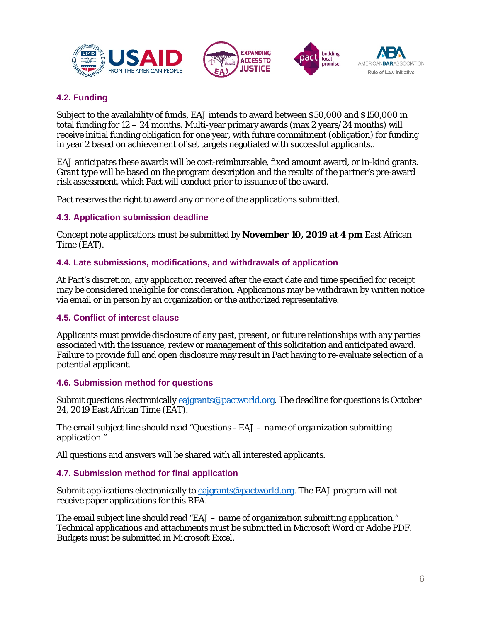





#### **4.2. Funding**

Subject to the availability of funds, EAJ intends to award between \$50,000 and \$150,000 in total funding for 12 – 24 months. Multi-year primary awards (max 2 years/24 months) will receive initial funding obligation for one year, with future commitment (obligation) for funding in year 2 based on achievement of set targets negotiated with successful applicants..

EAJ anticipates these awards will be cost-reimbursable, fixed amount award, or in-kind grants. Grant type will be based on the program description and the results of the partner's pre-award risk assessment, which Pact will conduct prior to issuance of the award.

Pact reserves the right to award any or none of the applications submitted.

#### **4.3. Application submission deadline**

Concept note applications must be submitted by **November 10, 2019 at 4 pm** East African Time (EAT).

#### **4.4. Late submissions, modifications, and withdrawals of application**

At Pact's discretion, any application received after the exact date and time specified for receipt may be considered ineligible for consideration. Applications may be withdrawn by written notice via email or in person by an organization or the authorized representative.

#### **4.5. Conflict of interest clause**

Applicants must provide disclosure of any past, present, or future relationships with any parties associated with the issuance, review or management of this solicitation and anticipated award. Failure to provide full and open disclosure may result in Pact having to re-evaluate selection of a potential applicant.

#### **4.6. Submission method for questions**

Submit questions electronically *eajgrants@pactworld.org*. The deadline for questions is October 24, 2019 East African Time (EAT).

The email subject line should read "Questions - EAJ – *name of organization submitting application*."

All questions and answers will be shared with all interested applicants.

#### **4.7. Submission method for final application**

Submit applications electronically to [eajgrants@pactworld.org.](mailto:eajgrants@pactworld.org) The EAJ program will not receive paper applications for this RFA.

The email subject line should read "EAJ – *name of organization submitting application*." Technical applications and attachments must be submitted in Microsoft Word or Adobe PDF. Budgets must be submitted in Microsoft Excel.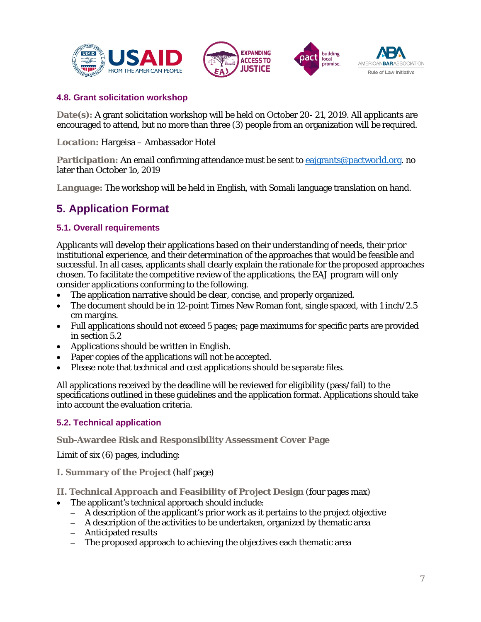





#### **4.8. Grant solicitation workshop**

**Date(s):** A grant solicitation workshop will be held on October 20- 21, 2019. All applicants are encouraged to attend, but no more than three (3) people from an organization will be required.

**Location:** Hargeisa – Ambassador Hotel

**Participation:** An email confirming attendance must be sent to [eajgrants@pactworld.org.](mailto:eajgrants@pactworld.org) no later than October 1o, 2019

**Language:** The workshop will be held in English, with Somali language translation on hand.

## **5. Application Format**

#### **5.1. Overall requirements**

Applicants will develop their applications based on their understanding of needs, their prior institutional experience, and their determination of the approaches that would be feasible and successful. In all cases, applicants shall clearly explain the rationale for the proposed approaches chosen. To facilitate the competitive review of the applications, the EAJ program will only consider applications conforming to the following.

- The application narrative should be clear, concise, and properly organized.
- The document should be in 12-point Times New Roman font, single spaced, with 1 inch/2.5 cm margins.
- Full applications should not exceed 5 pages; page maximums for specific parts are provided in section 5.2
- Applications should be written in English.
- Paper copies of the applications will not be accepted.
- Please note that technical and cost applications should be separate files.

All applications received by the deadline will be reviewed for eligibility (pass/fail) to the specifications outlined in these guidelines and the application format. Applications should take into account the evaluation criteria.

#### **5.2. Technical application**

#### **Sub-Awardee Risk and Responsibility Assessment Cover Page**

Limit of six (6) pages, including:

- **I. Summary of the Project** (half page)
- **II. Technical Approach and Feasibility of Project Design** (four pages max)
	- The applicant's technical approach should include:
		- A description of the applicant's prior work as it pertains to the project objective
		- A description of the activities to be undertaken, organized by thematic area
		- Anticipated results
		- The proposed approach to achieving the objectives each thematic area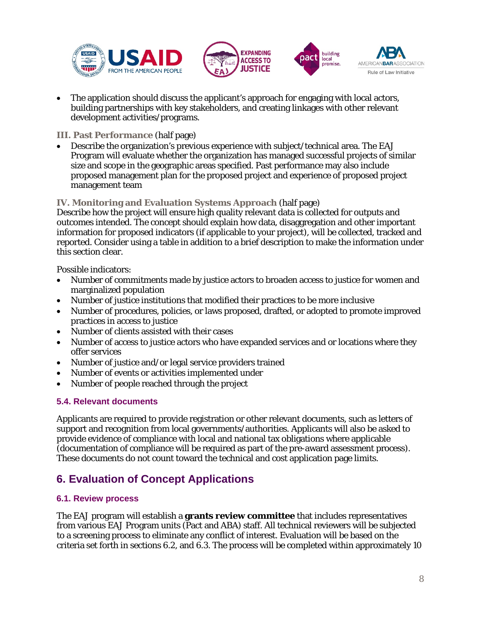





• The application should discuss the applicant's approach for engaging with local actors, building partnerships with key stakeholders, and creating linkages with other relevant development activities/programs.

#### **III. Past Performance** (half page)

• Describe the organization's previous experience with subject/technical area. The EAJ Program will evaluate whether the organization has managed successful projects of similar size and scope in the geographic areas specified. Past performance may also include proposed management plan for the proposed project and experience of proposed project management team

#### **IV. Monitoring and Evaluation Systems Approach** (half page)

Describe how the project will ensure high quality relevant data is collected for outputs and outcomes intended. The concept should explain how data, disaggregation and other important information for proposed indicators (if applicable to your project), will be collected, tracked and reported. Consider using a table in addition to a brief description to make the information under this section clear.

Possible indicators:

- Number of commitments made by justice actors to broaden access to justice for women and marginalized population
- Number of justice institutions that modified their practices to be more inclusive
- Number of procedures, policies, or laws proposed, drafted, or adopted to promote improved practices in access to justice
- Number of clients assisted with their cases
- Number of access to justice actors who have expanded services and or locations where they offer services
- Number of justice and/or legal service providers trained
- Number of events or activities implemented under
- Number of people reached through the project

#### **5.4. Relevant documents**

Applicants are required to provide registration or other relevant documents, such as letters of support and recognition from local governments/authorities. Applicants will also be asked to provide evidence of compliance with local and national tax obligations where applicable (documentation of compliance will be required as part of the pre-award assessment process). These documents do not count toward the technical and cost application page limits.

### **6. Evaluation of Concept Applications**

#### **6.1. Review process**

The EAJ program will establish a **grants review committee** that includes representatives from various EAJ Program units (Pact and ABA) staff. All technical reviewers will be subjected to a screening process to eliminate any conflict of interest. Evaluation will be based on the criteria set forth in sections 6.2, and 6.3. The process will be completed within approximately 10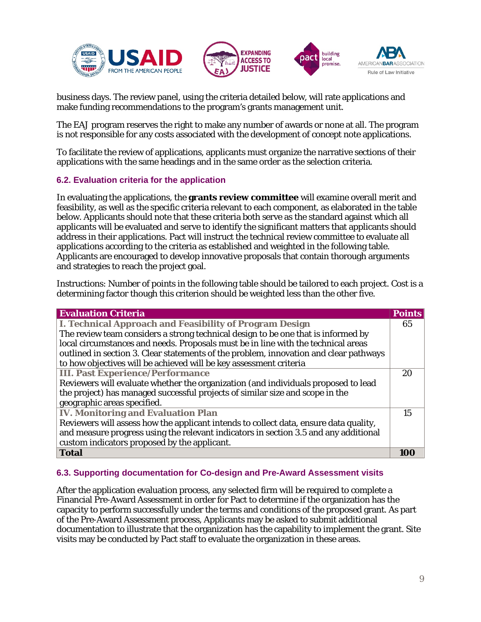





business days. The review panel, using the criteria detailed below, will rate applications and make funding recommendations to the program's grants management unit.

The EAJ program reserves the right to make any number of awards or none at all. The program is not responsible for any costs associated with the development of concept note applications.

To facilitate the review of applications, applicants must organize the narrative sections of their applications with the same headings and in the same order as the selection criteria.

#### **6.2. Evaluation criteria for the application**

In evaluating the applications, the **grants review committee** will examine overall merit and feasibility, as well as the specific criteria relevant to each component, as elaborated in the table below. Applicants should note that these criteria both serve as the standard against which all applicants will be evaluated and serve to identify the significant matters that applicants should address in their applications. Pact will instruct the technical review committee to evaluate all applications according to the criteria as established and weighted in the following table. Applicants are encouraged to develop innovative proposals that contain thorough arguments and strategies to reach the project goal.

Instructions: Number of points in the following table should be tailored to each project. Cost is a determining factor though this criterion should be weighted less than the other five.

| <b>Evaluation Criteria</b>                                                            | <b>Points</b> |
|---------------------------------------------------------------------------------------|---------------|
| <b>I. Technical Approach and Feasibility of Program Design</b>                        | 65            |
| The review team considers a strong technical design to be one that is informed by     |               |
| local circumstances and needs. Proposals must be in line with the technical areas     |               |
| outlined in section 3. Clear statements of the problem, innovation and clear pathways |               |
| to how objectives will be achieved will be key assessment criteria                    |               |
| <b>III. Past Experience/Performance</b>                                               | 20            |
| Reviewers will evaluate whether the organization (and individuals proposed to lead    |               |
| the project) has managed successful projects of similar size and scope in the         |               |
| geographic areas specified.                                                           |               |
| <b>IV. Monitoring and Evaluation Plan</b>                                             | 15            |
| Reviewers will assess how the applicant intends to collect data, ensure data quality, |               |
| and measure progress using the relevant indicators in section 3.5 and any additional  |               |
| custom indicators proposed by the applicant.                                          |               |
| Total                                                                                 |               |

#### **6.3. Supporting documentation for Co-design and Pre-Award Assessment visits**

After the application evaluation process, any selected firm will be required to complete a Financial Pre-Award Assessment in order for Pact to determine if the organization has the capacity to perform successfully under the terms and conditions of the proposed grant. As part of the Pre-Award Assessment process, Applicants may be asked to submit additional documentation to illustrate that the organization has the capability to implement the grant. Site visits may be conducted by Pact staff to evaluate the organization in these areas.